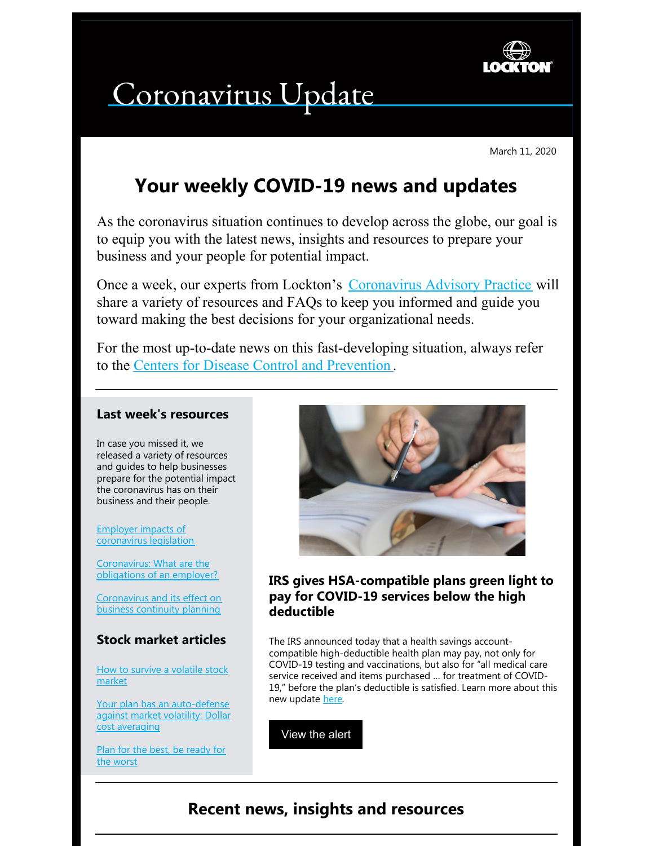

# Coronavirus Update

March 11, 2020

## **Your weekly COVID-19 news and updates**

As the coronavirus situation continues to develop across the globe, our goal is to equip you with the latest news, insights and resources to prepare your business and your people for potential impact.

Once a week, our experts from Lockton's [Coronavirus](https://www.lockton.com/coronavirus) Advisory Practice will share a variety of resources and FAQs to keep you informed and guide you toward making the best decisions for your organizational needs.

For the most up-to-date news on this fast-developing situation, always refer to the Centers for Disease Control and [Prevention](https://www.cdc.gov/coronavirus/2019-ncov/index.html) .

#### **Last week's resources**

In case you missed it, we released a variety of resources and guides to help businesses prepare for the potential impact the coronavirus has on their business and their people.

Employer impacts of [coronavirus](https://s3-us-west-2.amazonaws.com/lockton-corporate-website/Compliance-Alerts/20200305_coronavirus_funding_package.pdf?utm_source=employer_impacts&utm_medium=email&utm_campaign=coronavirus_employer_impacts) legislation

[Coronavirus:](https://s3-us-west-2.amazonaws.com/lockton-corporate-website/Compliance-Alerts/COVID-19_What_are_the_obligations_of_an_employer.pdf?utm_source=employer_impacts&utm_medium=email&utm_campaign=coronavirus_obligations_employer) What are the obligations of an employer?

[Coronavirus](https://s3-us-west-2.amazonaws.com/lockton-corporate-website/Compliance-Alerts/Coronavirus_Continuity_GUIDE.pdf?utm_source=employer_impacts&utm_medium=email&utm_campaign=coronavirus_business_continuity) and its effect on business continuity planning

## **Stock market articles**

How to survive a [volatile](http://s3-us-west-2.amazonaws.com/lockton-corporate-website/Compliance-Alerts/Participant_Newsletter-Surviving_a_Volatile_Stock_Market-March_2020.pdf?utm_source=employer_impacts&utm_medium=email&utm_campaign=coronavirus_volatile_stock_market) stock market

Your plan has an [auto-defense](http://s3-us-west-2.amazonaws.com/lockton-corporate-website/Compliance-Alerts/Dollar_Cost_Averaging-18.02February.pdf?utm_source=employer_impacts&utm_medium=email&utm_campaign=coronavirus_auto_defense) against market volatility: Dollar cost averaging

Plan for the best, be [ready](https://www.lockton.com/Resource_/PageResource/MKT/Participant_Newsletter-Plan_for_best_Be_ready_for_worst-April_2019.final.pdf?utm_source=employer_impacts&utm_medium=email&utm_campaign=coronavirus_plan_for_the_best) for the worst



## **IRS gives HSA-compatible plans green light to pay for COVID-19 services below the high deductible**

The IRS announced today that a health savings accountcompatible high-deductible health plan may pay, not only for COVID-19 testing and vaccinations, but also for "all medical care service received and items purchased … for treatment of COVID-19," before the plan's deductible is satisfied. Learn more about this new update [here](https://s3-us-west-2.amazonaws.com/lockton-corporate-website/Compliance-Alerts/20200311-IRS-gives-HSA-plans-the-green-light.pdf?utm_source=compliance_alert&utm_medium=email&utm_campaign=20200311_coronavirus_hsa).

[View](https://s3-us-west-2.amazonaws.com/lockton-corporate-website/Compliance-Alerts/20200311-IRS-gives-HSA-plans-the-green-light.pdf?utm_source=compliance_alert&utm_medium=email&utm_campaign=20200311_coronavirus_hsa) the alert

## **Recent news, insights and resources**